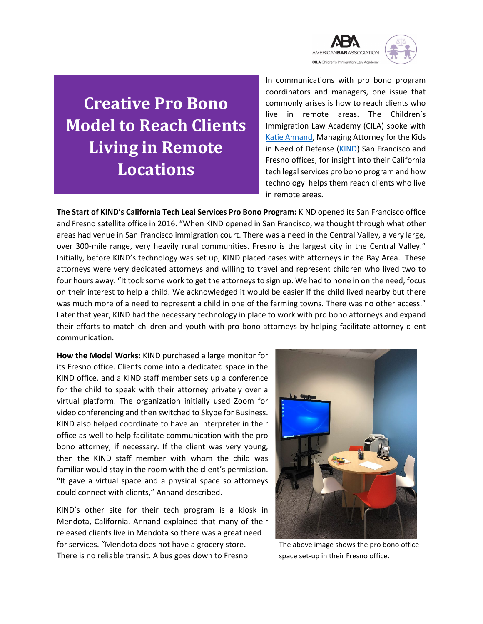

**Creative Pro Bono Model to Reach Clients Living in Remote Locations**

In communications with pro bono program coordinators and managers, one issue that commonly arises is how to reach clients who live in remote areas. The Children's Immigration Law Academy (CILA) spoke with [Katie Annand,](https://supportkind.org/who-we-are/our-people/san-francisco-and-fresno/) Managing Attorney for the Kids in Need of Defense [\(KIND\)](https://supportkind.org/) San Francisco and Fresno offices, for insight into their California tech legal services pro bono program and how technology helps them reach clients who live in remote areas.

**The Start of KIND's California Tech Leal Services Pro Bono Program:** KIND opened its San Francisco office and Fresno satellite office in 2016. "When KIND opened in San Francisco, we thought through what other areas had venue in San Francisco immigration court. There was a need in the Central Valley, a very large, over 300-mile range, very heavily rural communities. Fresno is the largest city in the Central Valley." Initially, before KIND's technology was set up, KIND placed cases with attorneys in the Bay Area. These<br>attorneys were very dedicated attorneys and willing to travel and represent children who lived two to attorneys were very dedicated attorneys and willing to travel and represent children who lived two to four hours away. "It took some work to get the attorneys to sign up. We had to hone in on the need, focus on their interest to help a child. We acknowledged it would be easier if the child lived nearby but there was much more of a need to represent a child in one of the farming towns. There was no other access." Later that year, KIND had the necessary technology in place to work with pro bono attorneys and expand their efforts to match children and youth with pro bono attorneys by helping facilitate attorney-client communication.

**How the Model Works:** KIND purchased a large monitor for its Fresno office. Clients come into a dedicated space in the KIND office, and a KIND staff member sets up a conference for the child to speak with their attorney privately over a virtual platform. The organization initially used Zoom for video conferencing and then switched to Skype for Business. KIND also helped coordinate to have an interpreter in their office as well to help facilitate communication with the pro bono attorney, if necessary. If the client was very young, then the KIND staff member with whom the child was familiar would stay in the room with the client's permission. "It gave a virtual space and a physical space so attorneys could connect with clients," Annand described.

KIND's other site for their tech program is a kiosk in Mendota, California. Annand explained that many of their released clients live in Mendota so there was a great need for services. "Mendota does not have a grocery store. The above image shows the pro bono office There is no reliable transit. A bus goes down to Fresno space set-up in their Fresno office.

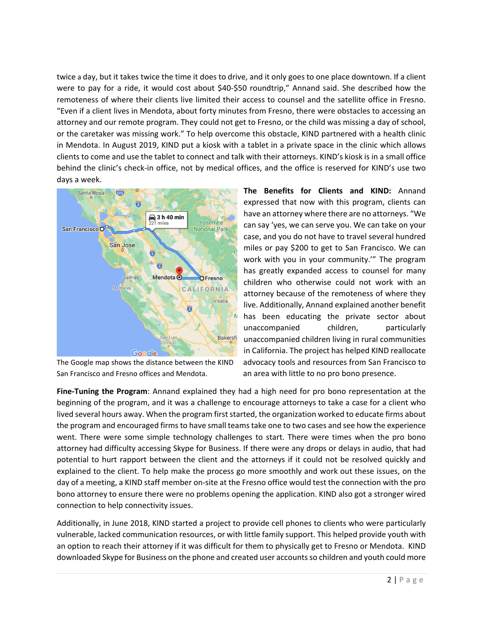twice a day, but it takes twice the time it does to drive, and it only goes to one place downtown. If a client were to pay for a ride, it would cost about \$40-\$50 roundtrip," Annand said. She described how the remoteness of where their clients live limited their access to counsel and the satellite office in Fresno. "Even if a client lives in Mendota, about forty minutes from Fresno, there were obstacles to accessing an attorney and our remote program. They could not get to Fresno, or the child was missing a day of school, or the caretaker was missing work." To help overcome this obstacle, KIND partnered with a health clinic in Mendota. In August 2019, KIND put a kiosk with a tablet in a private space in the clinic which allows clients to come and use the tablet to connect and talk with their attorneys. KIND's kiosk is in a small office behind the clinic's check-in office, not by medical offices, and the office is reserved for KIND's use two days a week.



San Francisco and Fresno offices and Mendota. an area with little to no pro bono presence.

**The Benefits for Clients and KIND:** Annand expressed that now with this program, clients can have an attorney where there are no attorneys. "We can say 'yes, we can serve you. We can take on your case, and you do not have to travel several hundred miles or pay \$200 to get to San Francisco. We can work with you in your community.'" The program has greatly expanded access to counsel for many children who otherwise could not work with an attorney because of the remoteness of where they live. Additionally, Annand explained another benefit has been educating the private sector about unaccompanied children, particularly unaccompanied children living in rural communities in California. The project has helped KIND reallocate The Google map shows the distance between the KIND advocacy tools and resources from San Francisco to

**Fine-Tuning the Program**: Annand explained they had a high need for pro bono representation at the beginning of the program, and it was a challenge to encourage attorneys to take a case for a client who lived several hours away. When the program first started, the organization worked to educate firms about the program and encouraged firms to have small teams take one to two cases and see how the experience went. There were some simple technology challenges to start. There were times when the pro bono attorney had difficulty accessing Skype for Business. If there were any drops or delays in audio, that had potential to hurt rapport between the client and the attorneys if it could not be resolved quickly and explained to the client. To help make the process go more smoothly and work out these issues, on the day of a meeting, a KIND staff member on-site at the Fresno office would test the connection with the pro bono attorney to ensure there were no problems opening the application. KIND also got a stronger wired connection to help connectivity issues.

Additionally, in June 2018, KIND started a project to provide cell phones to clients who were particularly vulnerable, lacked communication resources, or with little family support. This helped provide youth with an option to reach their attorney if it was difficult for them to physically get to Fresno or Mendota. KIND downloaded Skype for Business on the phone and created user accounts so children and youth could more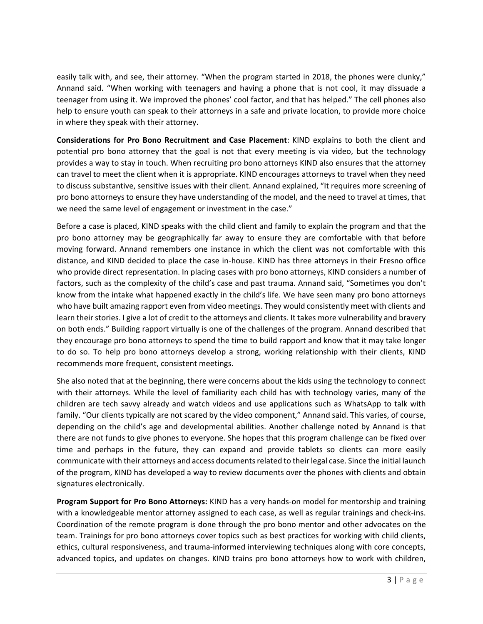easily talk with, and see, their attorney. "When the program started in 2018, the phones were clunky," Annand said. "When working with teenagers and having a phone that is not cool, it may dissuade a teenager from using it. We improved the phones' cool factor, and that has helped." The cell phones also help to ensure youth can speak to their attorneys in a safe and private location, to provide more choice in where they speak with their attorney.

**Considerations for Pro Bono Recruitment and Case Placement**: KIND explains to both the client and potential pro bono attorney that the goal is not that every meeting is via video, but the technology provides a way to stay in touch. When recruiting pro bono attorneys KIND also ensures that the attorney can travel to meet the client when it is appropriate. KIND encourages attorneys to travel when they need to discuss substantive, sensitive issues with their client. Annand explained, "It requires more screening of pro bono attorneys to ensure they have understanding of the model, and the need to travel at times, that we need the same level of engagement or investment in the case."

Before a case is placed, KIND speaks with the child client and family to explain the program and that the pro bono attorney may be geographically far away to ensure they are comfortable with that before moving forward. Annand remembers one instance in which the client was not comfortable with this distance, and KIND decided to place the case in-house. KIND has three attorneys in their Fresno office who provide direct representation. In placing cases with pro bono attorneys, KIND considers a number of factors, such as the complexity of the child's case and past trauma. Annand said, "Sometimes you don't know from the intake what happened exactly in the child's life. We have seen many pro bono attorneys who have built amazing rapport even from video meetings. They would consistently meet with clients and learn their stories. I give a lot of credit to the attorneys and clients. It takes more vulnerability and bravery on both ends." Building rapport virtually is one of the challenges of the program. Annand described that they encourage pro bono attorneys to spend the time to build rapport and know that it may take longer to do so. To help pro bono attorneys develop a strong, working relationship with their clients, KIND recommends more frequent, consistent meetings.

She also noted that at the beginning, there were concerns about the kids using the technology to connect with their attorneys. While the level of familiarity each child has with technology varies, many of the children are tech savvy already and watch videos and use applications such as WhatsApp to talk with family. "Our clients typically are not scared by the video component," Annand said. This varies, of course, depending on the child's age and developmental abilities. Another challenge noted by Annand is that there are not funds to give phones to everyone. She hopes that this program challenge can be fixed over time and perhaps in the future, they can expand and provide tablets so clients can more easily communicate with their attorneys and access documentsrelated to their legal case. Since the initial launch of the program, KIND has developed a way to review documents over the phones with clients and obtain signatures electronically.

**Program Support for Pro Bono Attorneys:** KIND has a very hands-on model for mentorship and training with a knowledgeable mentor attorney assigned to each case, as well as regular trainings and check-ins. Coordination of the remote program is done through the pro bono mentor and other advocates on the team. Trainings for pro bono attorneys cover topics such as best practices for working with child clients, ethics, cultural responsiveness, and trauma-informed interviewing techniques along with core concepts, advanced topics, and updates on changes. KIND trains pro bono attorneys how to work with children,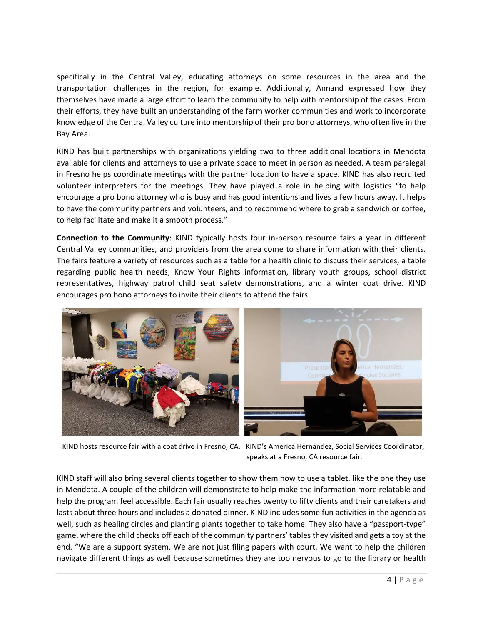specifically in the Central Valley, educating attorneys on some resources in the area and the transportation challenges in the region, for example. Additionally, Annand expressed how they themselves have made a large effort to learn the community to help with mentorship of the cases. From their efforts, they have built an understanding of the farm worker communities and work to incorporate knowledge of the Central Valley culture into mentorship of their pro bono attorneys, who often live in the Bay Area.

KIND has built partnerships with organizations yielding two to three additional locations in Mendota available for clients and attorneys to use a private space to meet in person as needed. A team paralegal in Fresno helps coordinate meetings with the partner location to have a space. KIND has also recruited volunteer interpreters for the meetings. They have played a role in helping with logistics "to help encourage a pro bono attorney who is busy and has good intentions and lives a few hours away. It helps to have the community partners and volunteers, and to recommend where to grab a sandwich or coffee, to help facilitate and make it a smooth process."

**Connection to the Community**: KIND typically hosts four in-person resource fairs a year in different Central Valley communities, and providers from the area come to share information with their clients. The fairs feature a variety of resources such as a table for a health clinic to discuss their services, a table regarding public health needs, Know Your Rights information, library youth groups, school district representatives, highway patrol child seat safety demonstrations, and a winter coat drive. KIND encourages pro bono attorneys to invite their clients to attend the fairs.



 KIND hosts resource fair with a coat drive in Fresno, CA. KIND's America Hernandez, Social Services Coordinator, speaks at a Fresno, CA resource fair.

KIND staff will also bring several clients together to show them how to use a tablet, like the one they use in Mendota. A couple of the children will demonstrate to help make the information more relatable and help the program feel accessible. Each fair usually reaches twenty to fifty clients and their caretakers and lasts about three hours and includes a donated dinner. KIND includes some fun activities in the agenda as well, such as healing circles and planting plants together to take home. They also have a "passport-type" game, where the child checks off each of the community partners' tables they visited and gets a toy at the end. "We are a support system. We are not just filing papers with court. We want to help the children navigate different things as well because sometimes they are too nervous to go to the library or health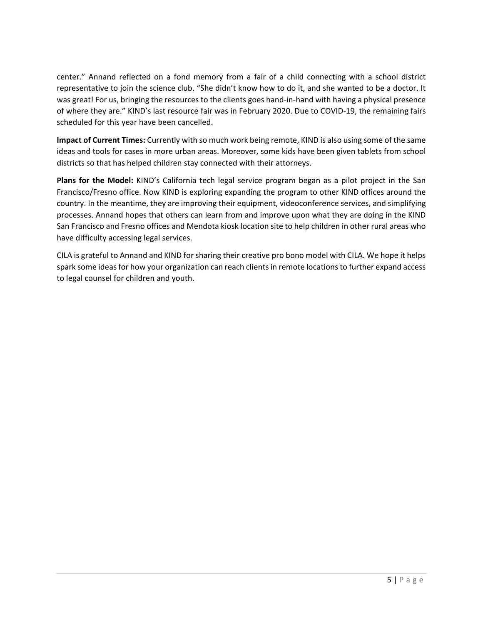center." Annand reflected on a fond memory from a fair of a child connecting with a school district representative to join the science club. "She didn't know how to do it, and she wanted to be a doctor. It was great! For us, bringing the resources to the clients goes hand-in-hand with having a physical presence of where they are." KIND's last resource fair was in February 2020. Due to COVID-19, the remaining fairs scheduled for this year have been cancelled.

**Impact of Current Times:** Currently with so much work being remote, KIND is also using some of the same ideas and tools for cases in more urban areas. Moreover, some kids have been given tablets from school districts so that has helped children stay connected with their attorneys.

**Plans for the Model:** KIND's California tech legal service program began as a pilot project in the San Francisco/Fresno office. Now KIND is exploring expanding the program to other KIND offices around the country. In the meantime, they are improving their equipment, videoconference services, and simplifying processes. Annand hopes that others can learn from and improve upon what they are doing in the KIND San Francisco and Fresno offices and Mendota kiosk location site to help children in other rural areas who have difficulty accessing legal services.

CILA is grateful to Annand and KIND for sharing their creative pro bono model with CILA. We hope it helps spark some ideas for how your organization can reach clients in remote locations to further expand access to legal counsel for children and youth.